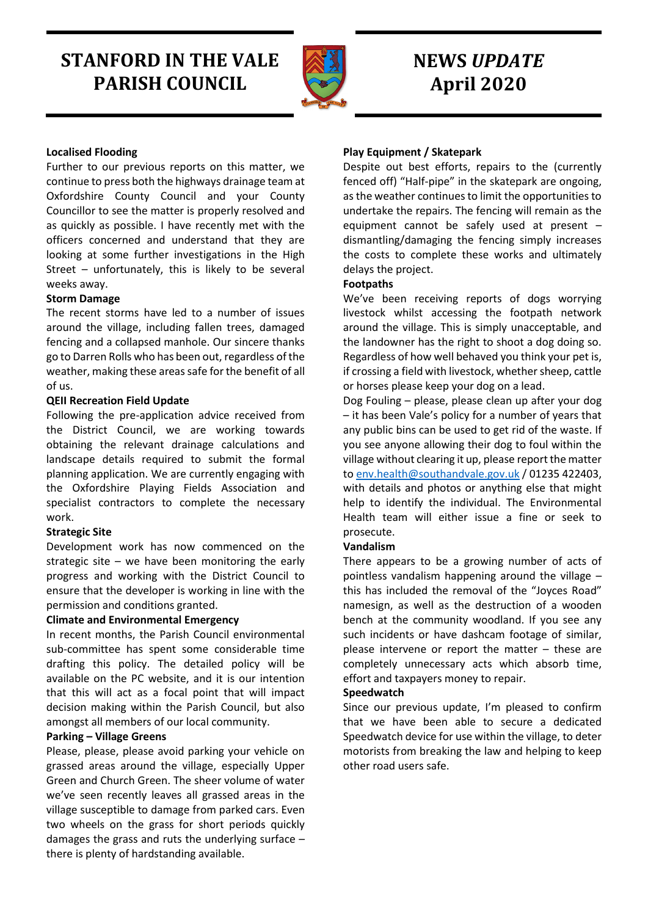# **STANFORD IN THE VALE PARISH COUNCIL**



## **NEWS** *UPDATE* **April 2020**

## **Localised Flooding**

Further to our previous reports on this matter, we continue to press both the highways drainage team at Oxfordshire County Council and your County Councillor to see the matter is properly resolved and as quickly as possible. I have recently met with the officers concerned and understand that they are looking at some further investigations in the High Street – unfortunately, this is likely to be several weeks away.

## **Storm Damage**

The recent storms have led to a number of issues around the village, including fallen trees, damaged fencing and a collapsed manhole. Our sincere thanks go to Darren Rolls who has been out, regardless of the weather, making these areas safe for the benefit of all of us.

## **QEII Recreation Field Update**

Following the pre-application advice received from the District Council, we are working towards obtaining the relevant drainage calculations and landscape details required to submit the formal planning application. We are currently engaging with the Oxfordshire Playing Fields Association and specialist contractors to complete the necessary work.

## **Strategic Site**

Development work has now commenced on the strategic site – we have been monitoring the early progress and working with the District Council to ensure that the developer is working in line with the permission and conditions granted.

## **Climate and Environmental Emergency**

In recent months, the Parish Council environmental sub-committee has spent some considerable time drafting this policy. The detailed policy will be available on the PC website, and it is our intention that this will act as a focal point that will impact decision making within the Parish Council, but also amongst all members of our local community.

## **Parking – Village Greens**

Please, please, please avoid parking your vehicle on grassed areas around the village, especially Upper Green and Church Green. The sheer volume of water we've seen recently leaves all grassed areas in the village susceptible to damage from parked cars. Even two wheels on the grass for short periods quickly damages the grass and ruts the underlying surface – there is plenty of hardstanding available.

## **Play Equipment / Skatepark**

Despite out best efforts, repairs to the (currently fenced off) "Half-pipe" in the skatepark are ongoing, as the weather continues to limit the opportunities to undertake the repairs. The fencing will remain as the equipment cannot be safely used at present – dismantling/damaging the fencing simply increases the costs to complete these works and ultimately delays the project.

#### **Footpaths**

We've been receiving reports of dogs worrying livestock whilst accessing the footpath network around the village. This is simply unacceptable, and the landowner has the right to shoot a dog doing so. Regardless of how well behaved you think your pet is, if crossing a field with livestock, whether sheep, cattle or horses please keep your dog on a lead.

Dog Fouling – please, please clean up after your dog – it has been Vale's policy for a number of years that any public bins can be used to get rid of the waste. If you see anyone allowing their dog to foul within the village without clearing it up, please report the matter to [env.health@southandvale.gov.uk](mailto:env.health@southandvale.gov.uk) / 01235 422403, with details and photos or anything else that might help to identify the individual. The Environmental Health team will either issue a fine or seek to prosecute.

## **Vandalism**

There appears to be a growing number of acts of pointless vandalism happening around the village – this has included the removal of the "Joyces Road" namesign, as well as the destruction of a wooden bench at the community woodland. If you see any such incidents or have dashcam footage of similar, please intervene or report the matter – these are completely unnecessary acts which absorb time, effort and taxpayers money to repair.

#### **Speedwatch**

Since our previous update, I'm pleased to confirm that we have been able to secure a dedicated Speedwatch device for use within the village, to deter motorists from breaking the law and helping to keep other road users safe.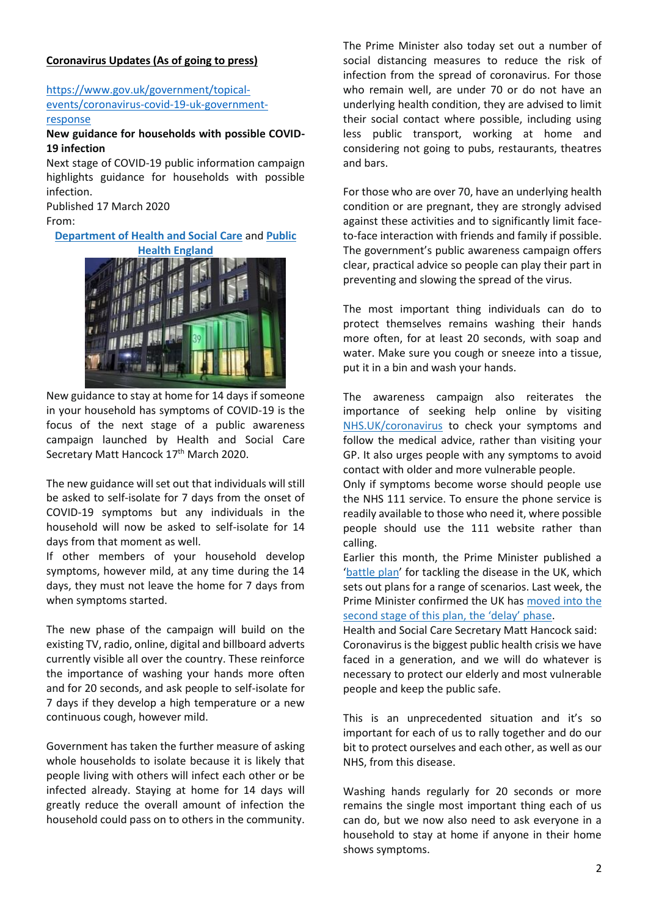## **Coronavirus Updates (As of going to press)**

## [https://www.gov.uk/government/topical](https://www.gov.uk/government/topical-events/coronavirus-covid-19-uk-government-response)[events/coronavirus-covid-19-uk-government](https://www.gov.uk/government/topical-events/coronavirus-covid-19-uk-government-response)[response](https://www.gov.uk/government/topical-events/coronavirus-covid-19-uk-government-response)

## **New guidance for households with possible COVID-19 infection**

Next stage of COVID-19 public information campaign highlights guidance for households with possible infection.

Published 17 March 2020 From:

**[Department](https://www.gov.uk/government/organisations/department-of-health-and-social-care) of Health and Social Care** and **[Public](https://www.gov.uk/government/organisations/public-health-england)**



New guidance to stay at home for 14 days if someone in your household has symptoms of COVID-19 is the focus of the next stage of a public awareness campaign launched by Health and Social Care Secretary Matt Hancock 17th March 2020.

The new guidance will set out that individuals will still be asked to self-isolate for 7 days from the onset of COVID-19 symptoms but any individuals in the household will now be asked to self-isolate for 14 days from that moment as well.

If other members of your household develop symptoms, however mild, at any time during the 14 days, they must not leave the home for 7 days from when symptoms started.

The new phase of the campaign will build on the existing TV, radio, online, digital and billboard adverts currently visible all over the country. These reinforce the importance of washing your hands more often and for 20 seconds, and ask people to self-isolate for 7 days if they develop a high temperature or a new continuous cough, however mild.

Government has taken the further measure of asking whole households to isolate because it is likely that people living with others will infect each other or be infected already. Staying at home for 14 days will greatly reduce the overall amount of infection the household could pass on to others in the community.

The Prime Minister also today set out a number of social distancing measures to reduce the risk of infection from the spread of coronavirus. For those who remain well, are under 70 or do not have an underlying health condition, they are advised to limit their social contact where possible, including using less public transport, working at home and considering not going to pubs, restaurants, theatres and bars.

For those who are over 70, have an underlying health condition or are pregnant, they are strongly advised against these activities and to significantly limit faceto-face interaction with friends and family if possible. The government's public awareness campaign offers clear, practical advice so people can play their part in preventing and slowing the spread of the virus.

The most important thing individuals can do to protect themselves remains washing their hands more often, for at least 20 seconds, with soap and water. Make sure you cough or sneeze into a tissue, put it in a bin and wash your hands.

The awareness campaign also reiterates the importance of seeking help online by visiting [NHS.UK/coronavirus](https://www.nhs.uk/conditions/coronavirus-covid-19/) to check your symptoms and follow the medical advice, rather than visiting your GP. It also urges people with any symptoms to avoid contact with older and more vulnerable people.

Only if symptoms become worse should people use the NHS 111 service. To ensure the phone service is readily available to those who need it, where possible people should use the 111 website rather than calling.

Earlier this month, the Prime Minister published a '[battle](https://www.gov.uk/government/publications/coronavirus-action-plan) plan' for tackling the disease in the UK, which sets out plans for a range of scenarios. Last week, the Prime Minister confirmed the UK has [moved](https://www.gov.uk/government/news/covid-19-government-announces-moving-out-of-contain-phase-and-into-delay) into the [second](https://www.gov.uk/government/news/covid-19-government-announces-moving-out-of-contain-phase-and-into-delay) stage of this plan, the 'delay' phase.

Health and Social Care Secretary Matt Hancock said: Coronavirus is the biggest public health crisis we have faced in a generation, and we will do whatever is necessary to protect our elderly and most vulnerable people and keep the public safe.

This is an unprecedented situation and it's so important for each of us to rally together and do our bit to protect ourselves and each other, as well as our NHS, from this disease.

Washing hands regularly for 20 seconds or more remains the single most important thing each of us can do, but we now also need to ask everyone in a household to stay at home if anyone in their home shows symptoms.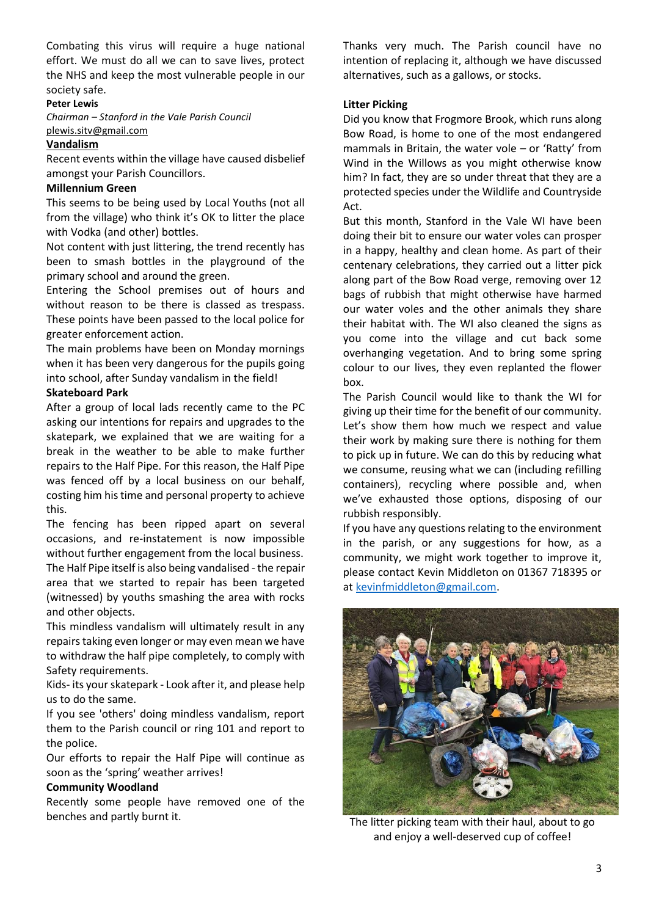Combating this virus will require a huge national effort. We must do all we can to save lives, protect the NHS and keep the most vulnerable people in our society safe.

#### **Peter Lewis**

*Chairman – Stanford in the Vale Parish Council* [plewis.sitv@gmail.com](mailto:plewis.sitv@gmail.com)

## **Vandalism**

Recent events within the village have caused disbelief amongst your Parish Councillors.

## **Millennium Green**

This seems to be being used by Local Youths (not all from the village) who think it's OK to litter the place with Vodka (and other) bottles.

Not content with just littering, the trend recently has been to smash bottles in the playground of the primary school and around the green.

Entering the School premises out of hours and without reason to be there is classed as trespass. These points have been passed to the local police for greater enforcement action.

The main problems have been on Monday mornings when it has been very dangerous for the pupils going into school, after Sunday vandalism in the field!

## **Skateboard Park**

After a group of local lads recently came to the PC asking our intentions for repairs and upgrades to the skatepark, we explained that we are waiting for a break in the weather to be able to make further repairs to the Half Pipe. For this reason, the Half Pipe was fenced off by a local business on our behalf, costing him his time and personal property to achieve this.

The fencing has been ripped apart on several occasions, and re-instatement is now impossible without further engagement from the local business. The Half Pipe itself is also being vandalised - the repair area that we started to repair has been targeted (witnessed) by youths smashing the area with rocks and other objects.

This mindless vandalism will ultimately result in any repairs taking even longer or may even mean we have to withdraw the half pipe completely, to comply with Safety requirements.

Kids- its your skatepark - Look after it, and please help us to do the same.

If you see 'others' doing mindless vandalism, report them to the Parish council or ring 101 and report to the police.

Our efforts to repair the Half Pipe will continue as soon as the 'spring' weather arrives!

## **Community Woodland**

Recently some people have removed one of the benches and partly burnt it.

Thanks very much. The Parish council have no intention of replacing it, although we have discussed alternatives, such as a gallows, or stocks.

## **Litter Picking**

Did you know that Frogmore Brook, which runs along Bow Road, is home to one of the most endangered mammals in Britain, the water vole – or 'Ratty' from Wind in the Willows as you might otherwise know him? In fact, they are so under threat that they are a protected species under the Wildlife and Countryside Act.

But this month, Stanford in the Vale WI have been doing their bit to ensure our water voles can prosper in a happy, healthy and clean home. As part of their centenary celebrations, they carried out a litter pick along part of the Bow Road verge, removing over 12 bags of rubbish that might otherwise have harmed our water voles and the other animals they share their habitat with. The WI also cleaned the signs as you come into the village and cut back some overhanging vegetation. And to bring some spring colour to our lives, they even replanted the flower box.

The Parish Council would like to thank the WI for giving up their time for the benefit of our community. Let's show them how much we respect and value their work by making sure there is nothing for them to pick up in future. We can do this by reducing what we consume, reusing what we can (including refilling containers), recycling where possible and, when we've exhausted those options, disposing of our rubbish responsibly.

If you have any questions relating to the environment in the parish, or any suggestions for how, as a community, we might work together to improve it, please contact Kevin Middleton on 01367 718395 or at [kevinfmiddleton@gmail.com.](mailto:kevinfmiddleton@gmail.com)



The litter picking team with their haul, about to go and enjoy a well-deserved cup of coffee!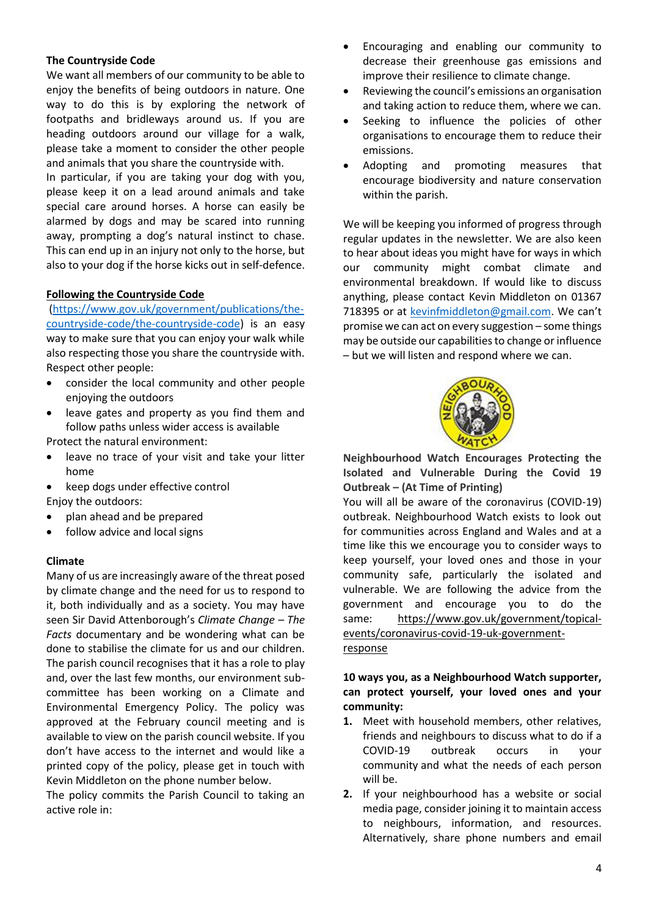## **The Countryside Code**

We want all members of our community to be able to enjoy the benefits of being outdoors in nature. One way to do this is by exploring the network of footpaths and bridleways around us. If you are heading outdoors around our village for a walk, please take a moment to consider the other people and animals that you share the countryside with.

In particular, if you are taking your dog with you, please keep it on a lead around animals and take special care around horses. A horse can easily be alarmed by dogs and may be scared into running away, prompting a dog's natural instinct to chase. This can end up in an injury not only to the horse, but also to your dog if the horse kicks out in self-defence.

## **Following the Countryside Code**

[\(https://www.gov.uk/government/publications/the](https://www.gov.uk/government/publications/the-countryside-code/the-countryside-code)[countryside-code/the-countryside-code\)](https://www.gov.uk/government/publications/the-countryside-code/the-countryside-code) is an easy way to make sure that you can enjoy your walk while also respecting those you share the countryside with. Respect other people:

- consider the local community and other people enjoying the outdoors
- leave gates and property as you find them and follow paths unless wider access is available

Protect the natural environment:

- leave no trace of your visit and take your litter home
- keep dogs under effective control Enjoy the outdoors:
- plan ahead and be prepared
- follow advice and local signs

## **Climate**

Many of us are increasingly aware of the threat posed by climate change and the need for us to respond to it, both individually and as a society. You may have seen Sir David Attenborough's *Climate Change – The Facts* documentary and be wondering what can be done to stabilise the climate for us and our children. The parish council recognises that it has a role to play and, over the last few months, our environment subcommittee has been working on a Climate and Environmental Emergency Policy. The policy was approved at the February council meeting and is available to view on the parish council website. If you don't have access to the internet and would like a printed copy of the policy, please get in touch with Kevin Middleton on the phone number below.

The policy commits the Parish Council to taking an active role in:

- Encouraging and enabling our community to decrease their greenhouse gas emissions and improve their resilience to climate change.
- Reviewing the council's emissions an organisation and taking action to reduce them, where we can.
- Seeking to influence the policies of other organisations to encourage them to reduce their emissions.
- Adopting and promoting measures that encourage biodiversity and nature conservation within the parish.

We will be keeping you informed of progress through regular updates in the newsletter. We are also keen to hear about ideas you might have for ways in which our community might combat climate and environmental breakdown. If would like to discuss anything, please contact Kevin Middleton on 01367 718395 or at [kevinfmiddleton@gmail.com](mailto:kevinfmiddleton@gmail.com). We can't promise we can act on every suggestion – some things may be outside our capabilities to change or influence – but we will listen and respond where we can.



**Neighbourhood Watch Encourages Protecting the Isolated and Vulnerable During the Covid 19 Outbreak – (At Time of Printing)**

You will all be aware of the coronavirus (COVID-19) outbreak. Neighbourhood Watch exists to look out for communities across England and Wales and at a time like this we encourage you to consider ways to keep yourself, your loved ones and those in your community safe, particularly the isolated and vulnerable. We are following the advice from the government and encourage you to do the same: [https://www.gov.uk/government/topical](https://www.gov.uk/government/topical-events/coronavirus-covid-19-uk-government-response)[events/coronavirus-covid-19-uk-government](https://www.gov.uk/government/topical-events/coronavirus-covid-19-uk-government-response)[response](https://www.gov.uk/government/topical-events/coronavirus-covid-19-uk-government-response)

**10 ways you, as a Neighbourhood Watch supporter, can protect yourself, your loved ones and your community:**

- **1.** Meet with household members, other relatives, friends and neighbours to discuss what to do if a COVID-19 outbreak occurs in your community and what the needs of each person will be.
- **2.** If your neighbourhood has a website or social media page, consider joining it to maintain access to neighbours, information, and resources. Alternatively, share phone numbers and email